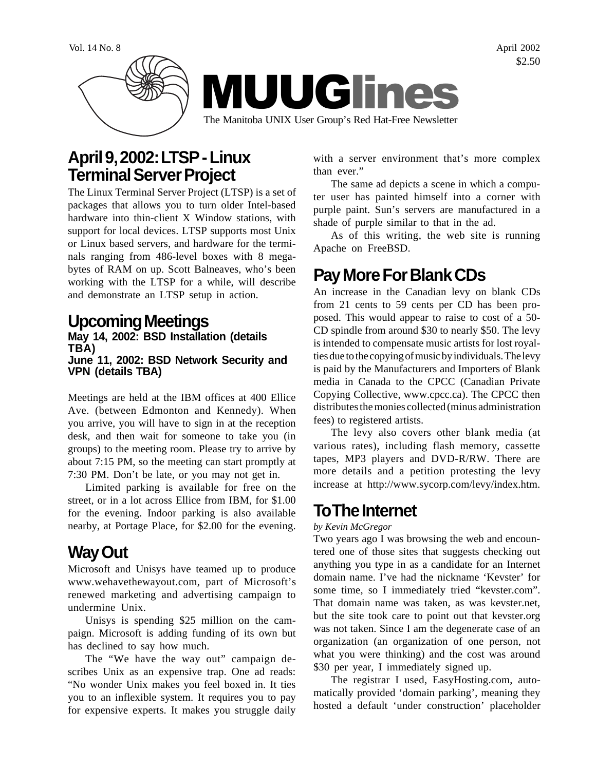

### **April 9, 2002: LTSP - Linux Terminal Server Project**

The Linux Terminal Server Project (LTSP) is a set of packages that allows you to turn older Intel-based hardware into thin-client X Window stations, with support for local devices. LTSP supports most Unix or Linux based servers, and hardware for the terminals ranging from 486-level boxes with 8 megabytes of RAM on up. Scott Balneaves, who's been working with the LTSP for a while, will describe and demonstrate an LTSP setup in action.

### **Upcoming Meetings**

#### **May 14, 2002: BSD Installation (details TBA) June 11, 2002: BSD Network Security and VPN (details TBA)**

Meetings are held at the IBM offices at 400 Ellice Ave. (between Edmonton and Kennedy). When you arrive, you will have to sign in at the reception desk, and then wait for someone to take you (in groups) to the meeting room. Please try to arrive by about 7:15 PM, so the meeting can start promptly at 7:30 PM. Don't be late, or you may not get in.

Limited parking is available for free on the street, or in a lot across Ellice from IBM, for \$1.00 for the evening. Indoor parking is also available nearby, at Portage Place, for \$2.00 for the evening.

# **Way Out**

Microsoft and Unisys have teamed up to produce www.wehavethewayout.com, part of Microsoft's renewed marketing and advertising campaign to undermine Unix.

Unisys is spending \$25 million on the campaign. Microsoft is adding funding of its own but has declined to say how much.

The "We have the way out" campaign describes Unix as an expensive trap. One ad reads: "No wonder Unix makes you feel boxed in. It ties you to an inflexible system. It requires you to pay for expensive experts. It makes you struggle daily with a server environment that's more complex than ever."

The same ad depicts a scene in which a computer user has painted himself into a corner with purple paint. Sun's servers are manufactured in a shade of purple similar to that in the ad.

As of this writing, the web site is running Apache on FreeBSD.

# **Pay More For Blank CDs**

An increase in the Canadian levy on blank CDs from 21 cents to 59 cents per CD has been proposed. This would appear to raise to cost of a 50- CD spindle from around \$30 to nearly \$50. The levy is intended to compensate music artists for lost royalties due to the copying of music by individuals. The levy is paid by the Manufacturers and Importers of Blank media in Canada to the CPCC (Canadian Private Copying Collective, www.cpcc.ca). The CPCC then distributes the monies collected (minus administration fees) to registered artists.

The levy also covers other blank media (at various rates), including flash memory, cassette tapes, MP3 players and DVD-R/RW. There are more details and a petition protesting the levy increase at http://www.sycorp.com/levy/index.htm.

### **To The Internet**

*by Kevin McGregor*

Two years ago I was browsing the web and encountered one of those sites that suggests checking out anything you type in as a candidate for an Internet domain name. I've had the nickname 'Kevster' for some time, so I immediately tried "kevster.com". That domain name was taken, as was kevster.net, but the site took care to point out that kevster.org was not taken. Since I am the degenerate case of an organization (an organization of one person, not what you were thinking) and the cost was around \$30 per year, I immediately signed up.

The registrar I used, EasyHosting.com, automatically provided 'domain parking', meaning they hosted a default 'under construction' placeholder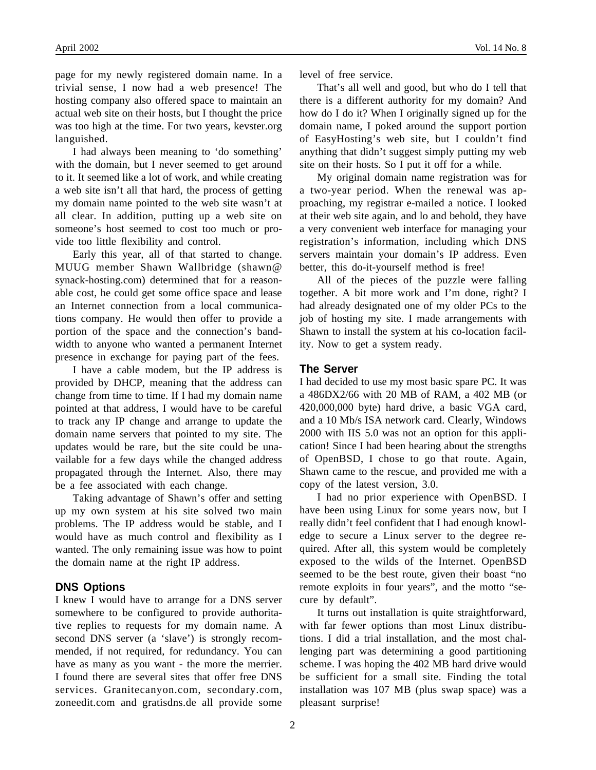page for my newly registered domain name. In a trivial sense, I now had a web presence! The hosting company also offered space to maintain an actual web site on their hosts, but I thought the price was too high at the time. For two years, kevster.org languished.

I had always been meaning to 'do something' with the domain, but I never seemed to get around to it. It seemed like a lot of work, and while creating a web site isn't all that hard, the process of getting my domain name pointed to the web site wasn't at all clear. In addition, putting up a web site on someone's host seemed to cost too much or provide too little flexibility and control.

Early this year, all of that started to change. MUUG member Shawn Wallbridge (shawn@ synack-hosting.com) determined that for a reasonable cost, he could get some office space and lease an Internet connection from a local communications company. He would then offer to provide a portion of the space and the connection's bandwidth to anyone who wanted a permanent Internet presence in exchange for paying part of the fees.

I have a cable modem, but the IP address is provided by DHCP, meaning that the address can change from time to time. If I had my domain name pointed at that address, I would have to be careful to track any IP change and arrange to update the domain name servers that pointed to my site. The updates would be rare, but the site could be unavailable for a few days while the changed address propagated through the Internet. Also, there may be a fee associated with each change.

Taking advantage of Shawn's offer and setting up my own system at his site solved two main problems. The IP address would be stable, and I would have as much control and flexibility as I wanted. The only remaining issue was how to point the domain name at the right IP address.

#### **DNS Options**

I knew I would have to arrange for a DNS server somewhere to be configured to provide authoritative replies to requests for my domain name. A second DNS server (a 'slave') is strongly recommended, if not required, for redundancy. You can have as many as you want - the more the merrier. I found there are several sites that offer free DNS services. Granitecanyon.com, secondary.com, zoneedit.com and gratisdns.de all provide some

level of free service.

That's all well and good, but who do I tell that there is a different authority for my domain? And how do I do it? When I originally signed up for the domain name, I poked around the support portion of EasyHosting's web site, but I couldn't find anything that didn't suggest simply putting my web site on their hosts. So I put it off for a while.

My original domain name registration was for a two-year period. When the renewal was approaching, my registrar e-mailed a notice. I looked at their web site again, and lo and behold, they have a very convenient web interface for managing your registration's information, including which DNS servers maintain your domain's IP address. Even better, this do-it-yourself method is free!

All of the pieces of the puzzle were falling together. A bit more work and I'm done, right? I had already designated one of my older PCs to the job of hosting my site. I made arrangements with Shawn to install the system at his co-location facility. Now to get a system ready.

#### **The Server**

I had decided to use my most basic spare PC. It was a 486DX2/66 with 20 MB of RAM, a 402 MB (or 420,000,000 byte) hard drive, a basic VGA card, and a 10 Mb/s ISA network card. Clearly, Windows 2000 with IIS 5.0 was not an option for this application! Since I had been hearing about the strengths of OpenBSD, I chose to go that route. Again, Shawn came to the rescue, and provided me with a copy of the latest version, 3.0.

I had no prior experience with OpenBSD. I have been using Linux for some years now, but I really didn't feel confident that I had enough knowledge to secure a Linux server to the degree required. After all, this system would be completely exposed to the wilds of the Internet. OpenBSD seemed to be the best route, given their boast "no remote exploits in four years", and the motto "secure by default".

It turns out installation is quite straightforward, with far fewer options than most Linux distributions. I did a trial installation, and the most challenging part was determining a good partitioning scheme. I was hoping the 402 MB hard drive would be sufficient for a small site. Finding the total installation was 107 MB (plus swap space) was a pleasant surprise!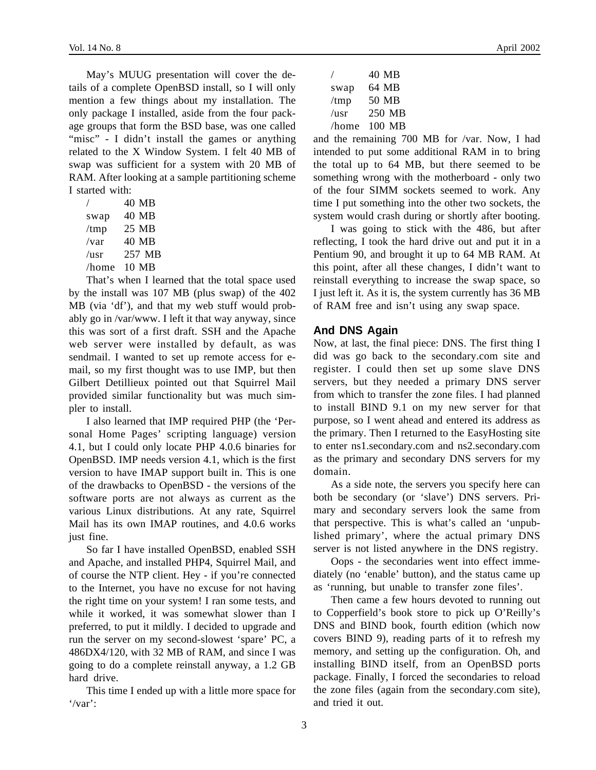May's MUUG presentation will cover the details of a complete OpenBSD install, so I will only mention a few things about my installation. The only package I installed, aside from the four package groups that form the BSD base, was one called "misc" - I didn't install the games or anything related to the X Window System. I felt 40 MB of swap was sufficient for a system with 20 MB of RAM. After looking at a sample partitioning scheme I started with:

|                 | 40 MB  |
|-----------------|--------|
| swap            | 40 MB  |
| $/\text{tmp}$   | 25 MB  |
| $/\mathrm{var}$ | 40 MB  |
| $\sqrt{usr}$    | 257 MB |
| /home           | 10 MB  |

That's when I learned that the total space used by the install was 107 MB (plus swap) of the 402 MB (via 'df'), and that my web stuff would probably go in /var/www. I left it that way anyway, since this was sort of a first draft. SSH and the Apache web server were installed by default, as was sendmail. I wanted to set up remote access for email, so my first thought was to use IMP, but then Gilbert Detillieux pointed out that Squirrel Mail provided similar functionality but was much simpler to install.

I also learned that IMP required PHP (the 'Personal Home Pages' scripting language) version 4.1, but I could only locate PHP 4.0.6 binaries for OpenBSD. IMP needs version 4.1, which is the first version to have IMAP support built in. This is one of the drawbacks to OpenBSD - the versions of the software ports are not always as current as the various Linux distributions. At any rate, Squirrel Mail has its own IMAP routines, and 4.0.6 works just fine.

So far I have installed OpenBSD, enabled SSH and Apache, and installed PHP4, Squirrel Mail, and of course the NTP client. Hey - if you're connected to the Internet, you have no excuse for not having the right time on your system! I ran some tests, and while it worked, it was somewhat slower than I preferred, to put it mildly. I decided to upgrade and run the server on my second-slowest 'spare' PC, a 486DX4/120, with 32 MB of RAM, and since I was going to do a complete reinstall anyway, a 1.2 GB hard drive.

This time I ended up with a little more space for '/var':

/ 40 MB swap 64 MB /tmp 50 MB  $\sqrt{u}$ sr 250 MB /home 100 MB

and the remaining 700 MB for /var. Now, I had intended to put some additional RAM in to bring the total up to 64 MB, but there seemed to be something wrong with the motherboard - only two of the four SIMM sockets seemed to work. Any time I put something into the other two sockets, the system would crash during or shortly after booting.

I was going to stick with the 486, but after reflecting, I took the hard drive out and put it in a Pentium 90, and brought it up to 64 MB RAM. At this point, after all these changes, I didn't want to reinstall everything to increase the swap space, so I just left it. As it is, the system currently has 36 MB of RAM free and isn't using any swap space.

#### **And DNS Again**

Now, at last, the final piece: DNS. The first thing I did was go back to the secondary.com site and register. I could then set up some slave DNS servers, but they needed a primary DNS server from which to transfer the zone files. I had planned to install BIND 9.1 on my new server for that purpose, so I went ahead and entered its address as the primary. Then I returned to the EasyHosting site to enter ns1.secondary.com and ns2.secondary.com as the primary and secondary DNS servers for my domain.

As a side note, the servers you specify here can both be secondary (or 'slave') DNS servers. Primary and secondary servers look the same from that perspective. This is what's called an 'unpublished primary', where the actual primary DNS server is not listed anywhere in the DNS registry.

Oops - the secondaries went into effect immediately (no 'enable' button), and the status came up as 'running, but unable to transfer zone files'.

Then came a few hours devoted to running out to Copperfield's book store to pick up O'Reilly's DNS and BIND book, fourth edition (which now covers BIND 9), reading parts of it to refresh my memory, and setting up the configuration. Oh, and installing BIND itself, from an OpenBSD ports package. Finally, I forced the secondaries to reload the zone files (again from the secondary.com site), and tried it out.